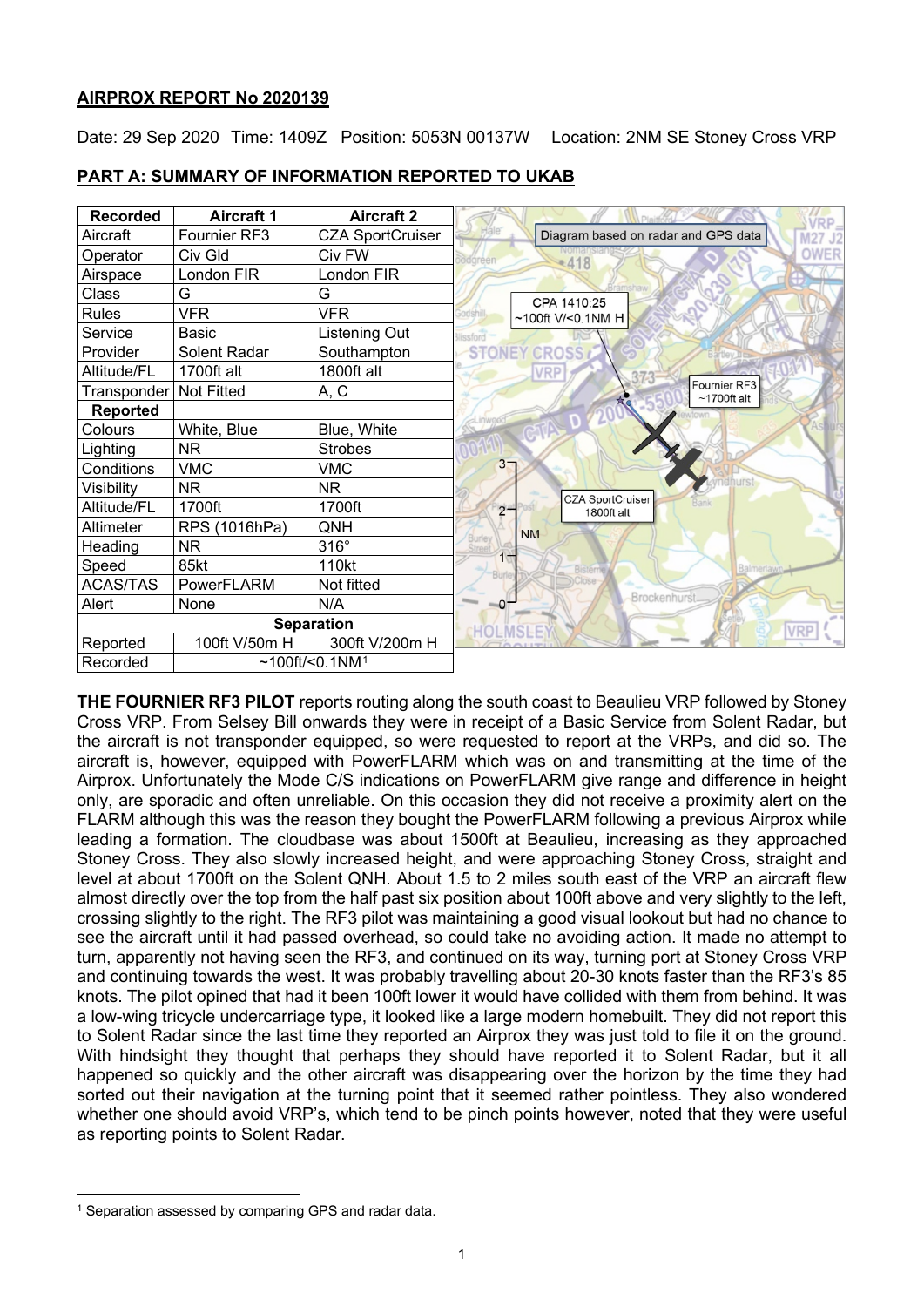## **AIRPROX REPORT No 2020139**

Date: 29 Sep 2020 Time: 1409Z Position: 5053N 00137W Location: 2NM SE Stoney Cross VRP

| <b>Recorded</b> | <b>Aircraft 1</b> | <b>Aircraft 2</b>             |                                                |
|-----------------|-------------------|-------------------------------|------------------------------------------------|
| Aircraft        | Fournier RF3      | <b>CZA SportCruiser</b>       | Diagram based on radar and GPS data<br>M27 J2  |
| Operator        | Civ Gld           | Civ FW                        | <b>OWER</b><br>$-418$<br>foreen                |
| Airspace        | London FIR        | London FIR                    |                                                |
| Class           | G                 | G                             | CPA 1410:25                                    |
| <b>Rules</b>    | <b>VFR</b>        | <b>VFR</b>                    | ~100ft V/<0.1NM H                              |
| Service         | Basic             | Listening Out                 | ssford                                         |
| Provider        | Solent Radar      | Southampton                   | <b>STONEY CROSS</b>                            |
| Altitude/FL     | 1700ft alt        | 1800ft alt                    | <b>VRP</b>                                     |
| Transponder     | <b>Not Fitted</b> | A, C                          | Fournier RF3<br>$~1700$ ft alt                 |
| <b>Reported</b> |                   |                               |                                                |
| Colours         | White, Blue       | Blue, White                   |                                                |
| Lighting        | <b>NR</b>         | <b>Strobes</b>                |                                                |
| Conditions      | <b>VMC</b>        | <b>VMC</b>                    | 3 <sub>7</sub>                                 |
| Visibility      | <b>NR</b>         | NR.                           |                                                |
| Altitude/FL     | 1700ft            | 1700ft                        | <b>CZA SportCruiser</b><br>$2 -$<br>1800ft alt |
| Altimeter       | RPS (1016hPa)     | QNH                           | <b>NM</b>                                      |
| Heading         | <b>NR</b>         | $316^\circ$                   | Burley                                         |
| Speed           | 85kt              | 110kt                         | 1<br>Balmerlawn<br><b>Bisterne</b><br>Burk     |
| <b>ACAS/TAS</b> | PowerFLARM        | Not fitted                    |                                                |
| Alert           | None              | N/A                           | Brockenhurst<br>-0                             |
|                 |                   | <b>Separation</b>             | <b>VRP</b><br><b>HOLMSL</b>                    |
| Reported        | 100ft V/50m H     | 300ft V/200m H                |                                                |
| Recorded        |                   | $~100$ ft/<0.1NM <sup>1</sup> |                                                |

## **PART A: SUMMARY OF INFORMATION REPORTED TO UKAB**

**THE FOURNIER RF3 PILOT** reports routing along the south coast to Beaulieu VRP followed by Stoney Cross VRP. From Selsey Bill onwards they were in receipt of a Basic Service from Solent Radar, but the aircraft is not transponder equipped, so were requested to report at the VRPs, and did so. The aircraft is, however, equipped with PowerFLARM which was on and transmitting at the time of the Airprox. Unfortunately the Mode C/S indications on PowerFLARM give range and difference in height only, are sporadic and often unreliable. On this occasion they did not receive a proximity alert on the FLARM although this was the reason they bought the PowerFLARM following a previous Airprox while leading a formation. The cloudbase was about 1500ft at Beaulieu, increasing as they approached Stoney Cross. They also slowly increased height, and were approaching Stoney Cross, straight and level at about 1700ft on the Solent QNH. About 1.5 to 2 miles south east of the VRP an aircraft flew almost directly over the top from the half past six position about 100ft above and very slightly to the left, crossing slightly to the right. The RF3 pilot was maintaining a good visual lookout but had no chance to see the aircraft until it had passed overhead, so could take no avoiding action. It made no attempt to turn, apparently not having seen the RF3, and continued on its way, turning port at Stoney Cross VRP and continuing towards the west. It was probably travelling about 20-30 knots faster than the RF3's 85 knots. The pilot opined that had it been 100ft lower it would have collided with them from behind. It was a low-wing tricycle undercarriage type, it looked like a large modern homebuilt. They did not report this to Solent Radar since the last time they reported an Airprox they was just told to file it on the ground. With hindsight they thought that perhaps they should have reported it to Solent Radar, but it all happened so quickly and the other aircraft was disappearing over the horizon by the time they had sorted out their navigation at the turning point that it seemed rather pointless. They also wondered whether one should avoid VRP's, which tend to be pinch points however, noted that they were useful as reporting points to Solent Radar.

<span id="page-0-0"></span><sup>&</sup>lt;sup>1</sup> Separation assessed by comparing GPS and radar data.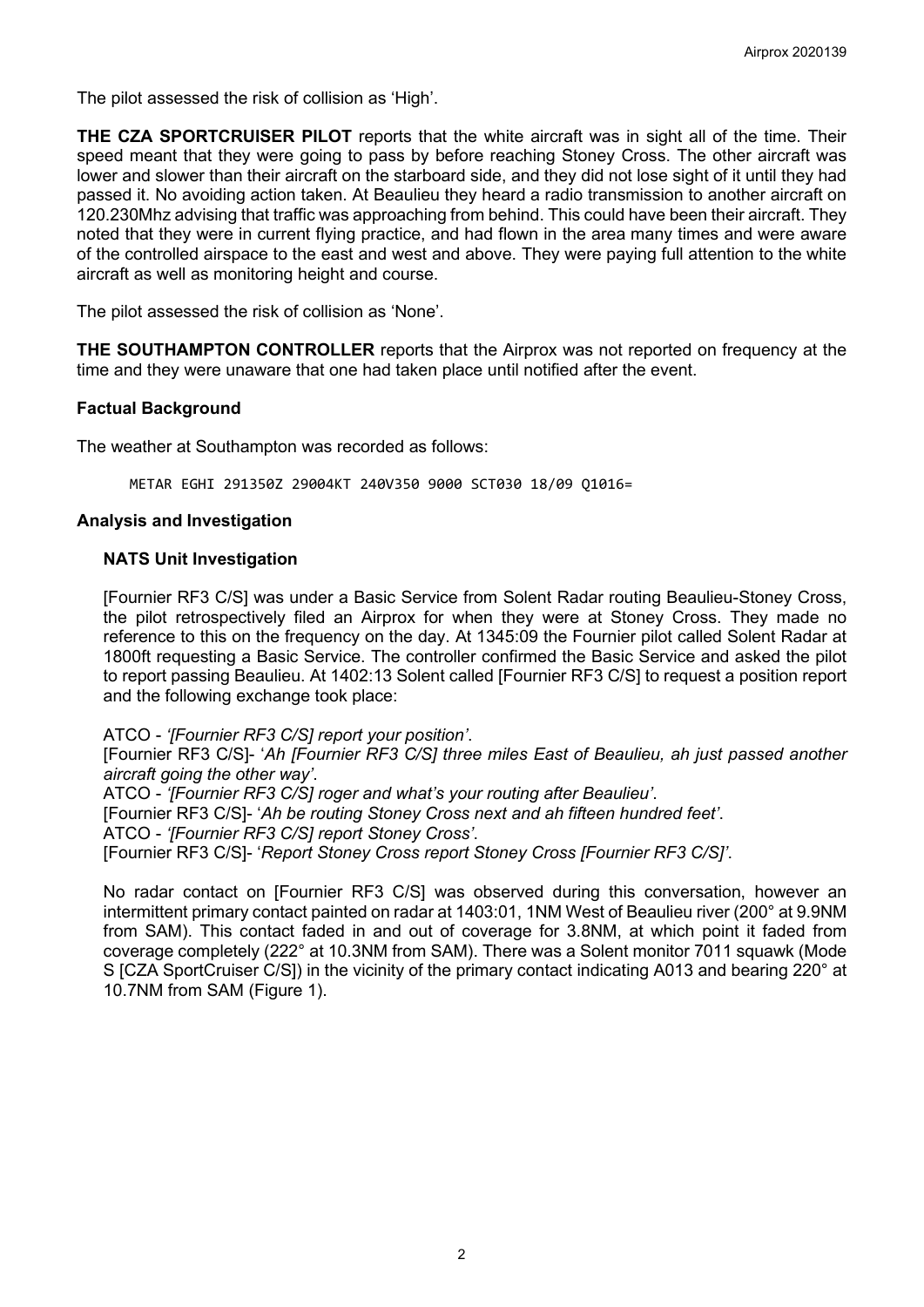The pilot assessed the risk of collision as 'High'.

**THE CZA SPORTCRUISER PILOT** reports that the white aircraft was in sight all of the time. Their speed meant that they were going to pass by before reaching Stoney Cross. The other aircraft was lower and slower than their aircraft on the starboard side, and they did not lose sight of it until they had passed it. No avoiding action taken. At Beaulieu they heard a radio transmission to another aircraft on 120.230Mhz advising that traffic was approaching from behind. This could have been their aircraft. They noted that they were in current flying practice, and had flown in the area many times and were aware of the controlled airspace to the east and west and above. They were paying full attention to the white aircraft as well as monitoring height and course.

The pilot assessed the risk of collision as 'None'.

**THE SOUTHAMPTON CONTROLLER** reports that the Airprox was not reported on frequency at the time and they were unaware that one had taken place until notified after the event.

## **Factual Background**

The weather at Southampton was recorded as follows:

METAR EGHI 291350Z 29004KT 240V350 9000 SCT030 18/09 Q1016=

## **Analysis and Investigation**

#### **NATS Unit Investigation**

[Fournier RF3 C/S] was under a Basic Service from Solent Radar routing Beaulieu-Stoney Cross, the pilot retrospectively filed an Airprox for when they were at Stoney Cross. They made no reference to this on the frequency on the day. At 1345:09 the Fournier pilot called Solent Radar at 1800ft requesting a Basic Service. The controller confirmed the Basic Service and asked the pilot to report passing Beaulieu. At 1402:13 Solent called [Fournier RF3 C/S] to request a position report and the following exchange took place:

ATCO - *'[Fournier RF3 C/S] report your position'*.

[Fournier RF3 C/S]- '*Ah [Fournier RF3 C/S] three miles East of Beaulieu, ah just passed another aircraft going the other way'*.

ATCO - *'[Fournier RF3 C/S] roger and what's your routing after Beaulieu'*. [Fournier RF3 C/S]- '*Ah be routing Stoney Cross next and ah fifteen hundred feet'*. ATCO - *'[Fournier RF3 C/S] report Stoney Cross'*.

[Fournier RF3 C/S]- '*Report Stoney Cross report Stoney Cross [Fournier RF3 C/S]'*.

No radar contact on [Fournier RF3 C/S] was observed during this conversation, however an intermittent primary contact painted on radar at 1403:01, 1NM West of Beaulieu river (200° at 9.9NM from SAM). This contact faded in and out of coverage for 3.8NM, at which point it faded from coverage completely (222° at 10.3NM from SAM). There was a Solent monitor 7011 squawk (Mode S [CZA SportCruiser C/S]) in the vicinity of the primary contact indicating A013 and bearing 220° at 10.7NM from SAM (Figure 1).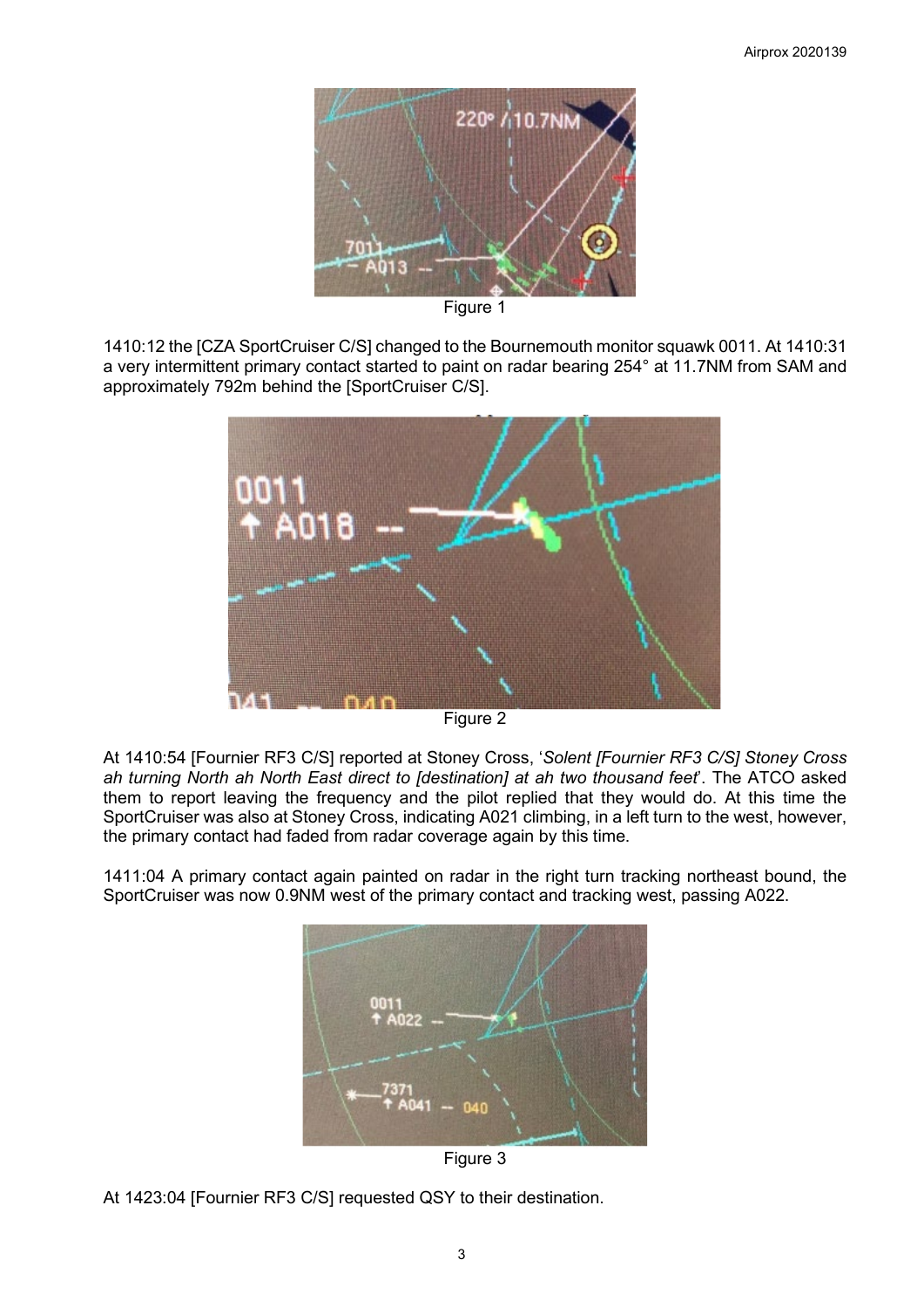

Figure 1

1410:12 the [CZA SportCruiser C/S] changed to the Bournemouth monitor squawk 0011. At 1410:31 a very intermittent primary contact started to paint on radar bearing 254° at 11.7NM from SAM and approximately 792m behind the [SportCruiser C/S].



Figure 2

At 1410:54 [Fournier RF3 C/S] reported at Stoney Cross, '*Solent [Fournier RF3 C/S] Stoney Cross ah turning North ah North East direct to [destination] at ah two thousand feet*'. The ATCO asked them to report leaving the frequency and the pilot replied that they would do. At this time the SportCruiser was also at Stoney Cross, indicating A021 climbing, in a left turn to the west, however, the primary contact had faded from radar coverage again by this time.

1411:04 A primary contact again painted on radar in the right turn tracking northeast bound, the SportCruiser was now 0.9NM west of the primary contact and tracking west, passing A022.



Figure 3

At 1423:04 [Fournier RF3 C/S] requested QSY to their destination.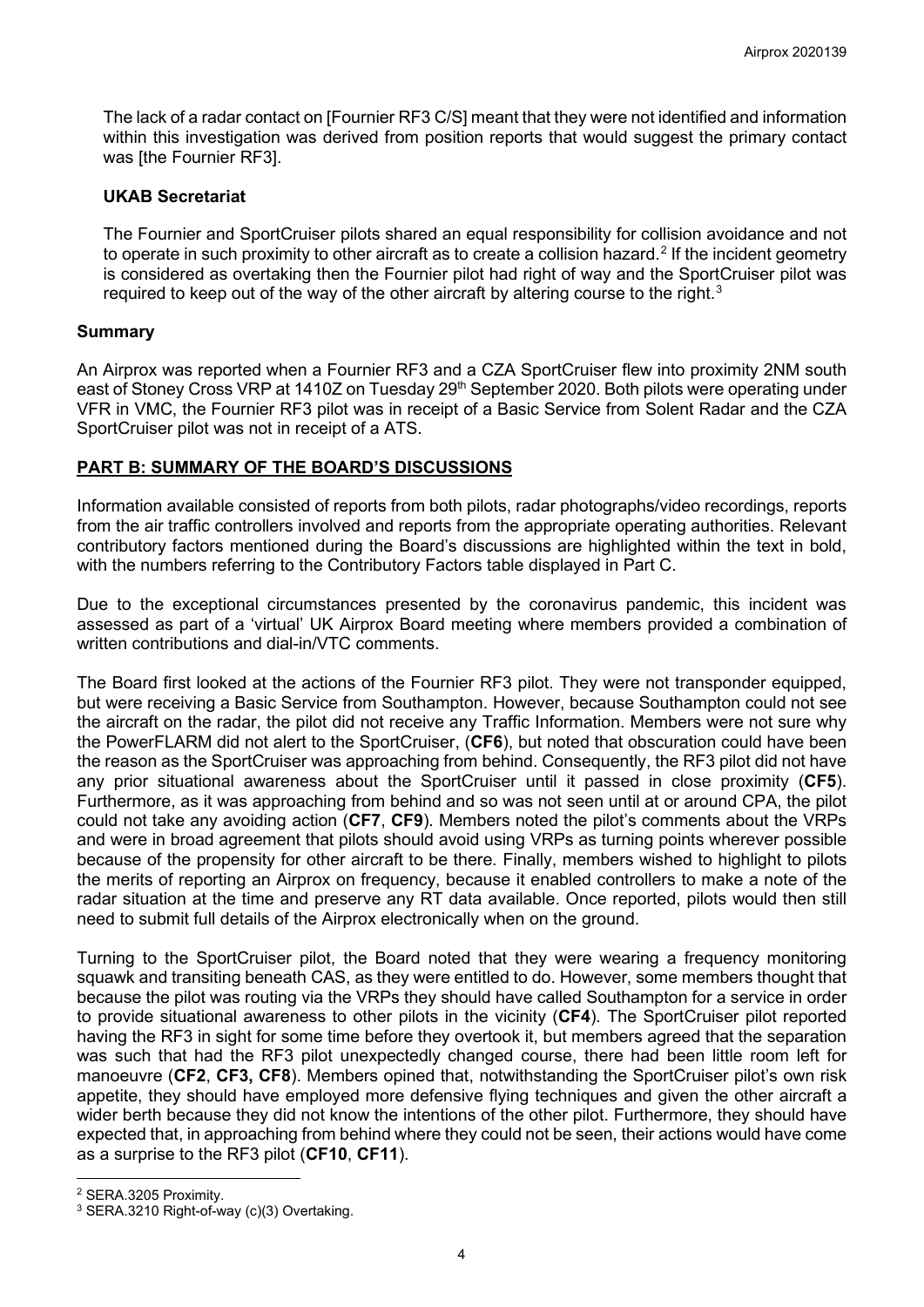The lack of a radar contact on [Fournier RF3 C/S] meant that they were not identified and information within this investigation was derived from position reports that would suggest the primary contact was [the Fournier RF3].

## **UKAB Secretariat**

The Fournier and SportCruiser pilots shared an equal responsibility for collision avoidance and not to operate in such proximity to other aircraft as to create a collision hazard. $^2$  $^2$  If the incident geometry is considered as overtaking then the Fournier pilot had right of way and the SportCruiser pilot was required to keep out of the way of the other aircraft by altering course to the right. $^3$  $^3$ 

# **Summary**

An Airprox was reported when a Fournier RF3 and a CZA SportCruiser flew into proximity 2NM south east of Stoney Cross VRP at 1410Z on Tuesday 29<sup>th</sup> September 2020. Both pilots were operating under VFR in VMC, the Fournier RF3 pilot was in receipt of a Basic Service from Solent Radar and the CZA SportCruiser pilot was not in receipt of a ATS.

# **PART B: SUMMARY OF THE BOARD'S DISCUSSIONS**

Information available consisted of reports from both pilots, radar photographs/video recordings, reports from the air traffic controllers involved and reports from the appropriate operating authorities. Relevant contributory factors mentioned during the Board's discussions are highlighted within the text in bold, with the numbers referring to the Contributory Factors table displayed in Part C.

Due to the exceptional circumstances presented by the coronavirus pandemic, this incident was assessed as part of a 'virtual' UK Airprox Board meeting where members provided a combination of written contributions and dial-in/VTC comments.

The Board first looked at the actions of the Fournier RF3 pilot. They were not transponder equipped, but were receiving a Basic Service from Southampton. However, because Southampton could not see the aircraft on the radar, the pilot did not receive any Traffic Information. Members were not sure why the PowerFLARM did not alert to the SportCruiser, (**CF6**), but noted that obscuration could have been the reason as the SportCruiser was approaching from behind. Consequently, the RF3 pilot did not have any prior situational awareness about the SportCruiser until it passed in close proximity (**CF5**). Furthermore, as it was approaching from behind and so was not seen until at or around CPA, the pilot could not take any avoiding action (**CF7**, **CF9**). Members noted the pilot's comments about the VRPs and were in broad agreement that pilots should avoid using VRPs as turning points wherever possible because of the propensity for other aircraft to be there. Finally, members wished to highlight to pilots the merits of reporting an Airprox on frequency, because it enabled controllers to make a note of the radar situation at the time and preserve any RT data available. Once reported, pilots would then still need to submit full details of the Airprox electronically when on the ground.

Turning to the SportCruiser pilot, the Board noted that they were wearing a frequency monitoring squawk and transiting beneath CAS, as they were entitled to do. However, some members thought that because the pilot was routing via the VRPs they should have called Southampton for a service in order to provide situational awareness to other pilots in the vicinity (**CF4**). The SportCruiser pilot reported having the RF3 in sight for some time before they overtook it, but members agreed that the separation was such that had the RF3 pilot unexpectedly changed course, there had been little room left for manoeuvre (**CF2**, **CF3, CF8**). Members opined that, notwithstanding the SportCruiser pilot's own risk appetite, they should have employed more defensive flying techniques and given the other aircraft a wider berth because they did not know the intentions of the other pilot. Furthermore, they should have expected that, in approaching from behind where they could not be seen, their actions would have come as a surprise to the RF3 pilot (**CF10**, **CF11**).

<span id="page-3-0"></span><sup>2</sup> SERA.3205 Proximity.

<span id="page-3-1"></span><sup>3</sup> SERA.3210 Right-of-way (c)(3) Overtaking.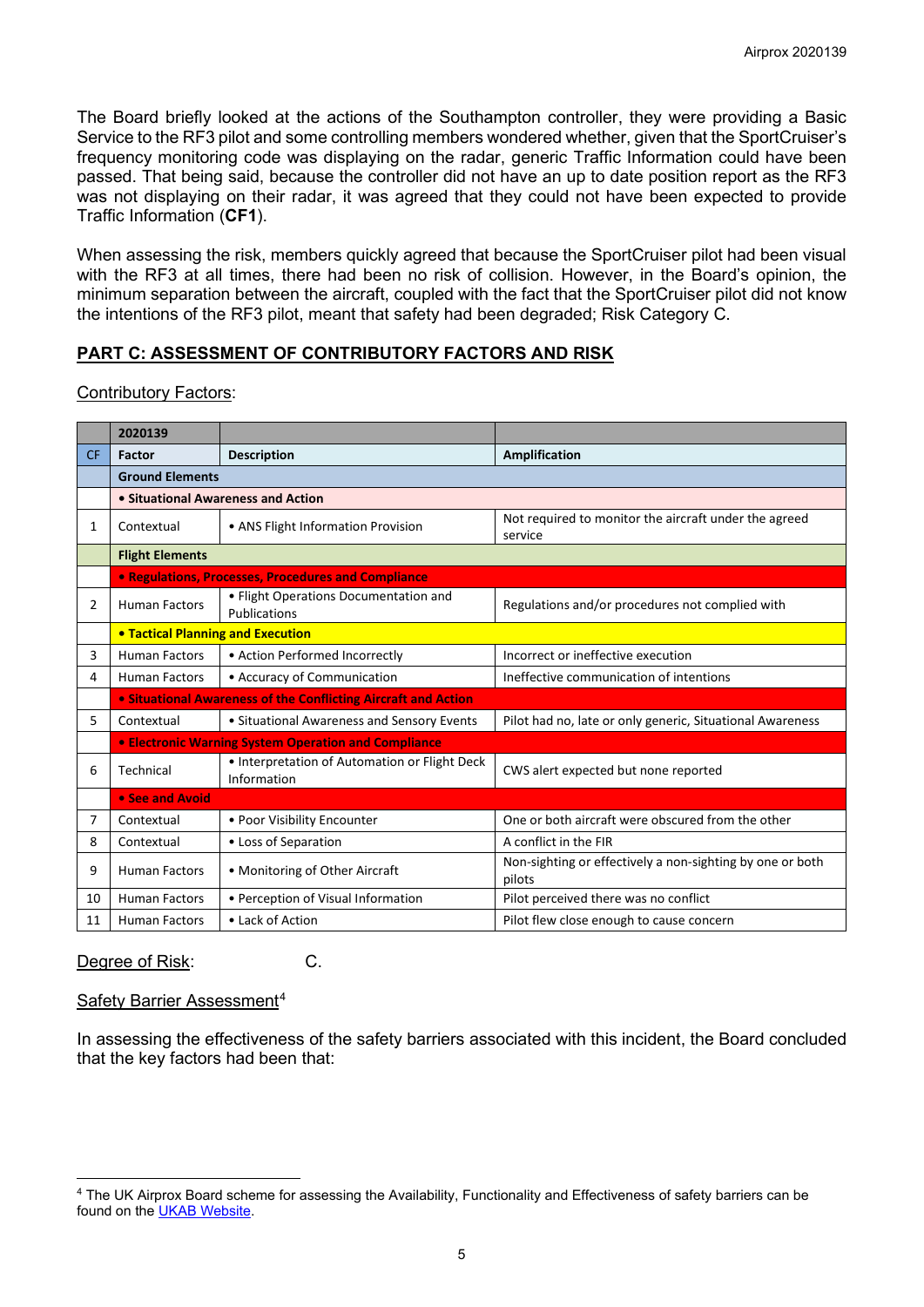The Board briefly looked at the actions of the Southampton controller, they were providing a Basic Service to the RF3 pilot and some controlling members wondered whether, given that the SportCruiser's frequency monitoring code was displaying on the radar, generic Traffic Information could have been passed. That being said, because the controller did not have an up to date position report as the RF3 was not displaying on their radar, it was agreed that they could not have been expected to provide Traffic Information (**CF1**).

When assessing the risk, members quickly agreed that because the SportCruiser pilot had been visual with the RF3 at all times, there had been no risk of collision. However, in the Board's opinion, the minimum separation between the aircraft, coupled with the fact that the SportCruiser pilot did not know the intentions of the RF3 pilot, meant that safety had been degraded; Risk Category C.

## **PART C: ASSESSMENT OF CONTRIBUTORY FACTORS AND RISK**

## Contributory Factors:

|           | 2020139                                                                   |                                                       |                                                                     |  |  |  |  |  |  |  |  |
|-----------|---------------------------------------------------------------------------|-------------------------------------------------------|---------------------------------------------------------------------|--|--|--|--|--|--|--|--|
| <b>CF</b> | Factor                                                                    | <b>Description</b>                                    | <b>Amplification</b>                                                |  |  |  |  |  |  |  |  |
|           | <b>Ground Elements</b>                                                    |                                                       |                                                                     |  |  |  |  |  |  |  |  |
|           |                                                                           | • Situational Awareness and Action                    |                                                                     |  |  |  |  |  |  |  |  |
| 1         | Contextual                                                                | • ANS Flight Information Provision                    | Not required to monitor the aircraft under the agreed<br>service    |  |  |  |  |  |  |  |  |
|           | <b>Flight Elements</b>                                                    |                                                       |                                                                     |  |  |  |  |  |  |  |  |
|           | • Regulations, Processes, Procedures and Compliance                       |                                                       |                                                                     |  |  |  |  |  |  |  |  |
| 2         | <b>Human Factors</b>                                                      | • Flight Operations Documentation and<br>Publications | Regulations and/or procedures not complied with                     |  |  |  |  |  |  |  |  |
|           | <b>. Tactical Planning and Execution</b>                                  |                                                       |                                                                     |  |  |  |  |  |  |  |  |
| 3         | <b>Human Factors</b>                                                      | • Action Performed Incorrectly                        | Incorrect or ineffective execution                                  |  |  |  |  |  |  |  |  |
| 4         | <b>Human Factors</b>                                                      | • Accuracy of Communication                           | Ineffective communication of intentions                             |  |  |  |  |  |  |  |  |
|           | • Situational Awareness of the Conflicting Aircraft and Action            |                                                       |                                                                     |  |  |  |  |  |  |  |  |
| 5         | Contextual                                                                | • Situational Awareness and Sensory Events            | Pilot had no, late or only generic, Situational Awareness           |  |  |  |  |  |  |  |  |
|           |                                                                           | • Electronic Warning System Operation and Compliance  |                                                                     |  |  |  |  |  |  |  |  |
| 6         | • Interpretation of Automation or Flight Deck<br>Technical<br>Information |                                                       | CWS alert expected but none reported                                |  |  |  |  |  |  |  |  |
|           | • See and Avoid                                                           |                                                       |                                                                     |  |  |  |  |  |  |  |  |
| 7         | Contextual<br>• Poor Visibility Encounter                                 |                                                       | One or both aircraft were obscured from the other                   |  |  |  |  |  |  |  |  |
| 8         | Contextual                                                                | • Loss of Separation                                  | A conflict in the FIR                                               |  |  |  |  |  |  |  |  |
| 9         | <b>Human Factors</b>                                                      | • Monitoring of Other Aircraft                        | Non-sighting or effectively a non-sighting by one or both<br>pilots |  |  |  |  |  |  |  |  |
| 10        | • Perception of Visual Information<br><b>Human Factors</b>                |                                                       | Pilot perceived there was no conflict                               |  |  |  |  |  |  |  |  |
| 11        | <b>Human Factors</b>                                                      | • Lack of Action                                      | Pilot flew close enough to cause concern                            |  |  |  |  |  |  |  |  |

Degree of Risk: C.

## Safety Barrier Assessment<sup>[4](#page-4-0)</sup>

In assessing the effectiveness of the safety barriers associated with this incident, the Board concluded that the key factors had been that:

<span id="page-4-0"></span><sup>4</sup> The UK Airprox Board scheme for assessing the Availability, Functionality and Effectiveness of safety barriers can be found on the [UKAB Website.](http://www.airproxboard.org.uk/Learn-more/Airprox-Barrier-Assessment/)